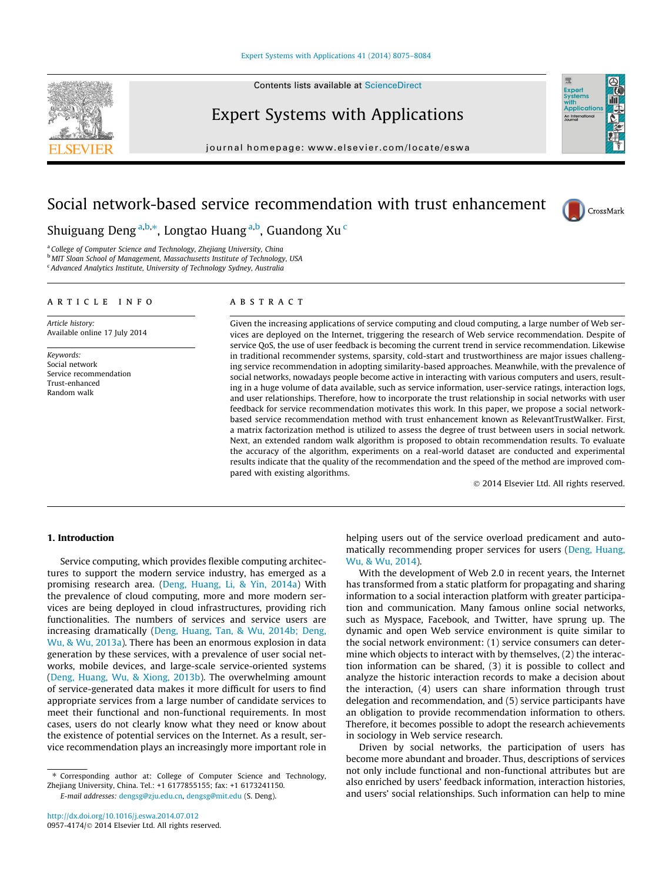Contents lists available at [ScienceDirect](http://www.sciencedirect.com/science/journal/09574174)



# Expert Systems with Applications

journal homepage: [www.elsevier.com/locate/eswa](http://www.elsevier.com/locate/eswa)

# Social network-based service recommendation with trust enhancement



Expert<br>System: **Application** An Internation

Shuiguang Deng<sup>a,b,\*</sup>, Longtao Huang<sup>a,b</sup>, Guandong Xu<sup>c</sup>

<sup>a</sup> College of Computer Science and Technology, Zhejiang University, China <sup>b</sup> MIT Sloan School of Management, Massachusetts Institute of Technology, USA <sup>c</sup> Advanced Analytics Institute, University of Technology Sydney, Australia

### article info

Article history: Available online 17 July 2014

Keywords: Social network Service recommendation Trust-enhanced Random walk

# **ABSTRACT**

Given the increasing applications of service computing and cloud computing, a large number of Web services are deployed on the Internet, triggering the research of Web service recommendation. Despite of service QoS, the use of user feedback is becoming the current trend in service recommendation. Likewise in traditional recommender systems, sparsity, cold-start and trustworthiness are major issues challenging service recommendation in adopting similarity-based approaches. Meanwhile, with the prevalence of social networks, nowadays people become active in interacting with various computers and users, resulting in a huge volume of data available, such as service information, user-service ratings, interaction logs, and user relationships. Therefore, how to incorporate the trust relationship in social networks with user feedback for service recommendation motivates this work. In this paper, we propose a social networkbased service recommendation method with trust enhancement known as RelevantTrustWalker. First, a matrix factorization method is utilized to assess the degree of trust between users in social network. Next, an extended random walk algorithm is proposed to obtain recommendation results. To evaluate the accuracy of the algorithm, experiments on a real-world dataset are conducted and experimental results indicate that the quality of the recommendation and the speed of the method are improved compared with existing algorithms.

- 2014 Elsevier Ltd. All rights reserved.

# 1. Introduction

Service computing, which provides flexible computing architectures to support the modern service industry, has emerged as a promising research area. ([Deng, Huang, Li, & Yin, 2014a](#page-8-0)) With the prevalence of cloud computing, more and more modern services are being deployed in cloud infrastructures, providing rich functionalities. The numbers of services and service users are increasing dramatically ([Deng, Huang, Tan, & Wu, 2014b; Deng,](#page-8-0) [Wu, & Wu, 2013a](#page-8-0)). There has been an enormous explosion in data generation by these services, with a prevalence of user social networks, mobile devices, and large-scale service-oriented systems ([Deng, Huang, Wu, & Xiong, 2013b](#page-8-0)). The overwhelming amount of service-generated data makes it more difficult for users to find appropriate services from a large number of candidate services to meet their functional and non-functional requirements. In most cases, users do not clearly know what they need or know about the existence of potential services on the Internet. As a result, service recommendation plays an increasingly more important role in

⇑ Corresponding author at: College of Computer Science and Technology, Zhejiang University, China. Tel.: +1 6177855155; fax: +1 6173241150.

helping users out of the service overload predicament and automatically recommending proper services for users [\(Deng, Huang,](#page-8-0) [Wu, & Wu, 2014\)](#page-8-0).

With the development of Web 2.0 in recent years, the Internet has transformed from a static platform for propagating and sharing information to a social interaction platform with greater participation and communication. Many famous online social networks, such as Myspace, Facebook, and Twitter, have sprung up. The dynamic and open Web service environment is quite similar to the social network environment: (1) service consumers can determine which objects to interact with by themselves, (2) the interaction information can be shared, (3) it is possible to collect and analyze the historic interaction records to make a decision about the interaction, (4) users can share information through trust delegation and recommendation, and (5) service participants have an obligation to provide recommendation information to others. Therefore, it becomes possible to adopt the research achievements in sociology in Web service research.

Driven by social networks, the participation of users has become more abundant and broader. Thus, descriptions of services not only include functional and non-functional attributes but are also enriched by users' feedback information, interaction histories, and users' social relationships. Such information can help to mine

E-mail addresses: [dengsg@zju.edu.cn](mailto:dengsg@zju.edu.cn), [dengsg@mit.edu](mailto:dengsg@mit.edu) (S. Deng).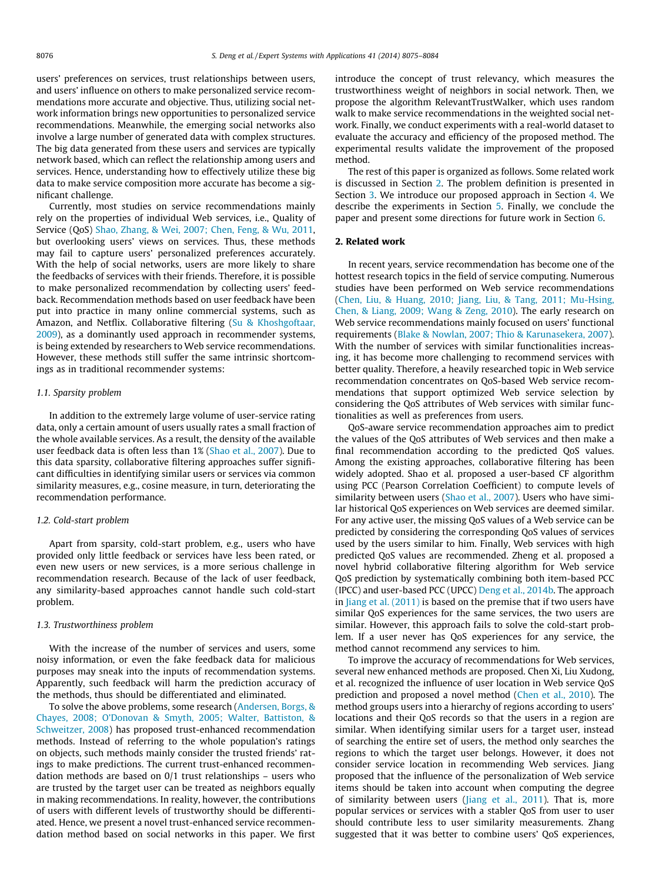users' preferences on services, trust relationships between users, and users' influence on others to make personalized service recommendations more accurate and objective. Thus, utilizing social network information brings new opportunities to personalized service recommendations. Meanwhile, the emerging social networks also involve a large number of generated data with complex structures. The big data generated from these users and services are typically network based, which can reflect the relationship among users and services. Hence, understanding how to effectively utilize these big data to make service composition more accurate has become a significant challenge.

Currently, most studies on service recommendations mainly rely on the properties of individual Web services, i.e., Quality of Service (QoS) [Shao, Zhang, & Wei, 2007; Chen, Feng, & Wu, 2011,](#page-9-0) but overlooking users' views on services. Thus, these methods may fail to capture users' personalized preferences accurately. With the help of social networks, users are more likely to share the feedbacks of services with their friends. Therefore, it is possible to make personalized recommendation by collecting users' feedback. Recommendation methods based on user feedback have been put into practice in many online commercial systems, such as Amazon, and Netflix. Collaborative filtering [\(Su & Khoshgoftaar,](#page-9-0) [2009\)](#page-9-0), as a dominantly used approach in recommender systems, is being extended by researchers to Web service recommendations. However, these methods still suffer the same intrinsic shortcomings as in traditional recommender systems:

# 1.1. Sparsity problem

In addition to the extremely large volume of user-service rating data, only a certain amount of users usually rates a small fraction of the whole available services. As a result, the density of the available user feedback data is often less than 1% ([Shao et al., 2007](#page-9-0)). Due to this data sparsity, collaborative filtering approaches suffer significant difficulties in identifying similar users or services via common similarity measures, e.g., cosine measure, in turn, deteriorating the recommendation performance.

## 1.2. Cold-start problem

Apart from sparsity, cold-start problem, e.g., users who have provided only little feedback or services have less been rated, or even new users or new services, is a more serious challenge in recommendation research. Because of the lack of user feedback, any similarity-based approaches cannot handle such cold-start problem.

# 1.3. Trustworthiness problem

With the increase of the number of services and users, some noisy information, or even the fake feedback data for malicious purposes may sneak into the inputs of recommendation systems. Apparently, such feedback will harm the prediction accuracy of the methods, thus should be differentiated and eliminated.

To solve the above problems, some research ([Andersen, Borgs, &](#page-8-0) [Chayes, 2008; O'Donovan & Smyth, 2005; Walter, Battiston, &](#page-8-0) [Schweitzer, 2008](#page-8-0)) has proposed trust-enhanced recommendation methods. Instead of referring to the whole population's ratings on objects, such methods mainly consider the trusted friends' ratings to make predictions. The current trust-enhanced recommendation methods are based on 0/1 trust relationships – users who are trusted by the target user can be treated as neighbors equally in making recommendations. In reality, however, the contributions of users with different levels of trustworthy should be differentiated. Hence, we present a novel trust-enhanced service recommendation method based on social networks in this paper. We first introduce the concept of trust relevancy, which measures the trustworthiness weight of neighbors in social network. Then, we propose the algorithm RelevantTrustWalker, which uses random walk to make service recommendations in the weighted social network. Finally, we conduct experiments with a real-world dataset to evaluate the accuracy and efficiency of the proposed method. The experimental results validate the improvement of the proposed method.

The rest of this paper is organized as follows. Some related work is discussed in Section 2. The problem definition is presented in Section [3.](#page-2-0) We introduce our proposed approach in Section [4.](#page-3-0) We describe the experiments in Section [5](#page-5-0). Finally, we conclude the paper and present some directions for future work in Section [6.](#page-8-0)

## 2. Related work

In recent years, service recommendation has become one of the hottest research topics in the field of service computing. Numerous studies have been performed on Web service recommendations ([Chen, Liu, & Huang, 2010; Jiang, Liu, & Tang, 2011; Mu-Hsing,](#page-8-0) [Chen, & Liang, 2009; Wang & Zeng, 2010](#page-8-0)). The early research on Web service recommendations mainly focused on users' functional requirements ([Blake & Nowlan, 2007; Thio & Karunasekera, 2007\)](#page-8-0). With the number of services with similar functionalities increasing, it has become more challenging to recommend services with better quality. Therefore, a heavily researched topic in Web service recommendation concentrates on QoS-based Web service recommendations that support optimized Web service selection by considering the QoS attributes of Web services with similar functionalities as well as preferences from users.

QoS-aware service recommendation approaches aim to predict the values of the QoS attributes of Web services and then make a final recommendation according to the predicted QoS values. Among the existing approaches, collaborative filtering has been widely adopted. Shao et al. proposed a user-based CF algorithm using PCC (Pearson Correlation Coefficient) to compute levels of similarity between users ([Shao et al., 2007](#page-9-0)). Users who have similar historical QoS experiences on Web services are deemed similar. For any active user, the missing QoS values of a Web service can be predicted by considering the corresponding QoS values of services used by the users similar to him. Finally, Web services with high predicted QoS values are recommended. Zheng et al. proposed a novel hybrid collaborative filtering algorithm for Web service QoS prediction by systematically combining both item-based PCC (IPCC) and user-based PCC (UPCC) [Deng et al., 2014b](#page-8-0). The approach in [Jiang et al. \(2011\)](#page-8-0) is based on the premise that if two users have similar QoS experiences for the same services, the two users are similar. However, this approach fails to solve the cold-start problem. If a user never has QoS experiences for any service, the method cannot recommend any services to him.

To improve the accuracy of recommendations for Web services, several new enhanced methods are proposed. Chen Xi, Liu Xudong, et al. recognized the influence of user location in Web service QoS prediction and proposed a novel method ([Chen et al., 2010\)](#page-8-0). The method groups users into a hierarchy of regions according to users' locations and their QoS records so that the users in a region are similar. When identifying similar users for a target user, instead of searching the entire set of users, the method only searches the regions to which the target user belongs. However, it does not consider service location in recommending Web services. Jiang proposed that the influence of the personalization of Web service items should be taken into account when computing the degree of similarity between users [\(Jiang et al., 2011](#page-8-0)). That is, more popular services or services with a stabler QoS from user to user should contribute less to user similarity measurements. Zhang suggested that it was better to combine users' QoS experiences,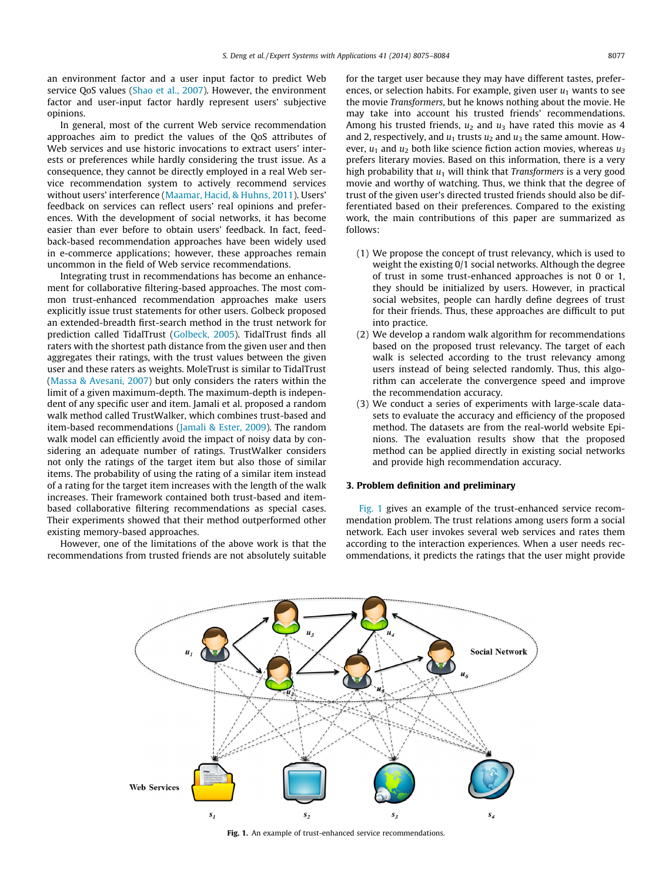<span id="page-2-0"></span>an environment factor and a user input factor to predict Web service OoS values [\(Shao et al., 2007](#page-9-0)). However, the environment factor and user-input factor hardly represent users' subjective opinions.

In general, most of the current Web service recommendation approaches aim to predict the values of the QoS attributes of Web services and use historic invocations to extract users' interests or preferences while hardly considering the trust issue. As a consequence, they cannot be directly employed in a real Web service recommendation system to actively recommend services without users' interference ([Maamar, Hacid, & Huhns, 2011](#page-9-0)). Users' feedback on services can reflect users' real opinions and preferences. With the development of social networks, it has become easier than ever before to obtain users' feedback. In fact, feedback-based recommendation approaches have been widely used in e-commerce applications; however, these approaches remain uncommon in the field of Web service recommendations.

Integrating trust in recommendations has become an enhancement for collaborative filtering-based approaches. The most common trust-enhanced recommendation approaches make users explicitly issue trust statements for other users. Golbeck proposed an extended-breadth first-search method in the trust network for prediction called TidalTrust [\(Golbeck, 2005](#page-8-0)). TidalTrust finds all raters with the shortest path distance from the given user and then aggregates their ratings, with the trust values between the given user and these raters as weights. MoleTrust is similar to TidalTrust ([Massa & Avesani, 2007\)](#page-9-0) but only considers the raters within the limit of a given maximum-depth. The maximum-depth is independent of any specific user and item. Jamali et al. proposed a random walk method called TrustWalker, which combines trust-based and item-based recommendations [\(Jamali & Ester, 2009\)](#page-8-0). The random walk model can efficiently avoid the impact of noisy data by considering an adequate number of ratings. TrustWalker considers not only the ratings of the target item but also those of similar items. The probability of using the rating of a similar item instead of a rating for the target item increases with the length of the walk increases. Their framework contained both trust-based and itembased collaborative filtering recommendations as special cases. Their experiments showed that their method outperformed other existing memory-based approaches.

However, one of the limitations of the above work is that the recommendations from trusted friends are not absolutely suitable for the target user because they may have different tastes, preferences, or selection habits. For example, given user  $u_1$  wants to see the movie Transformers, but he knows nothing about the movie. He may take into account his trusted friends' recommendations. Among his trusted friends,  $u_2$  and  $u_3$  have rated this movie as 4 and 2, respectively, and  $u_1$  trusts  $u_2$  and  $u_3$  the same amount. However,  $u_1$  and  $u_2$  both like science fiction action movies, whereas  $u_3$ prefers literary movies. Based on this information, there is a very high probability that  $u_1$  will think that *Transformers* is a very good movie and worthy of watching. Thus, we think that the degree of trust of the given user's directed trusted friends should also be differentiated based on their preferences. Compared to the existing work, the main contributions of this paper are summarized as follows:

- (1) We propose the concept of trust relevancy, which is used to weight the existing 0/1 social networks. Although the degree of trust in some trust-enhanced approaches is not 0 or 1, they should be initialized by users. However, in practical social websites, people can hardly define degrees of trust for their friends. Thus, these approaches are difficult to put into practice.
- (2) We develop a random walk algorithm for recommendations based on the proposed trust relevancy. The target of each walk is selected according to the trust relevancy among users instead of being selected randomly. Thus, this algorithm can accelerate the convergence speed and improve the recommendation accuracy.
- (3) We conduct a series of experiments with large-scale datasets to evaluate the accuracy and efficiency of the proposed method. The datasets are from the real-world website Epinions. The evaluation results show that the proposed method can be applied directly in existing social networks and provide high recommendation accuracy.

# 3. Problem definition and preliminary

Fig. 1 gives an example of the trust-enhanced service recommendation problem. The trust relations among users form a social network. Each user invokes several web services and rates them according to the interaction experiences. When a user needs recommendations, it predicts the ratings that the user might provide



Fig. 1. An example of trust-enhanced service recommendations.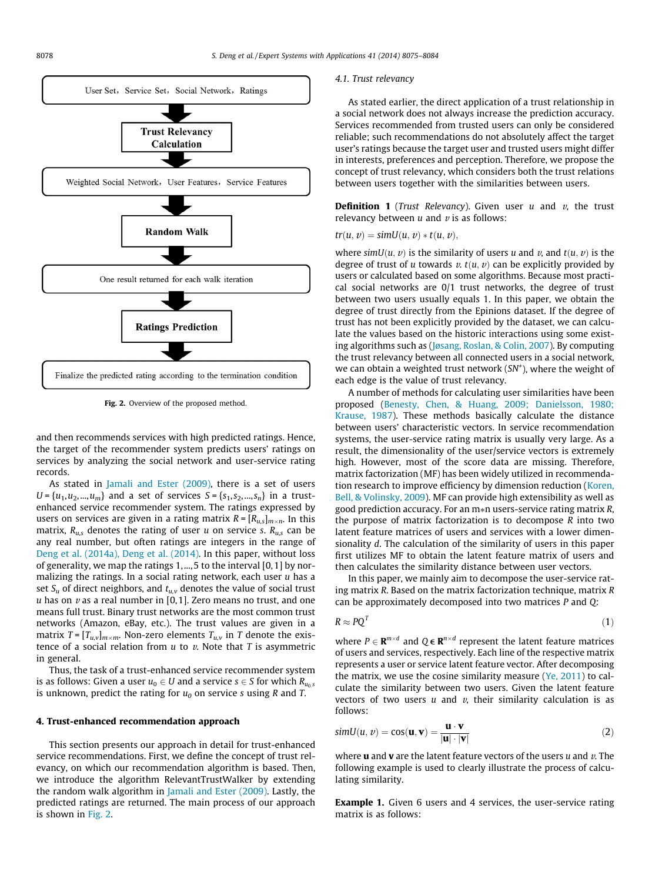<span id="page-3-0"></span>

Fig. 2. Overview of the proposed method.

and then recommends services with high predicted ratings. Hence, the target of the recommender system predicts users' ratings on services by analyzing the social network and user-service rating records.

As stated in [Jamali and Ester \(2009\)](#page-8-0), there is a set of users  $U = \{u_1, u_2, ..., u_m\}$  and a set of services  $S = \{s_1, s_2, ..., s_n\}$  in a trustenhanced service recommender system. The ratings expressed by users on services are given in a rating matrix  $R = [R_{u,s}]_{m \times n}$ . In this matrix,  $R_{u,s}$  denotes the rating of user u on service s.  $R_{u,s}$  can be any real number, but often ratings are integers in the range of [Deng et al. \(2014a\), Deng et al. \(2014\).](#page-8-0) In this paper, without loss of generality, we map the ratings 1,..., 5 to the interval [0,1] by normalizing the ratings. In a social rating network, each user  $u$  has a set  $S_u$  of direct neighbors, and  $t_{u,v}$  denotes the value of social trust  $u$  has on  $v$  as a real number in [0,1]. Zero means no trust, and one means full trust. Binary trust networks are the most common trust networks (Amazon, eBay, etc.). The trust values are given in a matrix T =  $[T_{u,v}]_{m\times m}$ . Non-zero elements  $T_{u,v}$  in T denote the existence of a social relation from  $u$  to  $v$ . Note that  $T$  is asymmetric in general.

Thus, the task of a trust-enhanced service recommender system is as follows: Given a user  $u_0 \in U$  and a service  $s \in S$  for which  $R_{u_0,s}$ is unknown, predict the rating for  $u_0$  on service s using R and T.

## 4. Trust-enhanced recommendation approach

This section presents our approach in detail for trust-enhanced service recommendations. First, we define the concept of trust relevancy, on which our recommendation algorithm is based. Then, we introduce the algorithm RelevantTrustWalker by extending the random walk algorithm in [Jamali and Ester \(2009\)](#page-8-0). Lastly, the predicted ratings are returned. The main process of our approach is shown in Fig. 2.

#### 4.1. Trust relevancy

As stated earlier, the direct application of a trust relationship in a social network does not always increase the prediction accuracy. Services recommended from trusted users can only be considered reliable; such recommendations do not absolutely affect the target user's ratings because the target user and trusted users might differ in interests, preferences and perception. Therefore, we propose the concept of trust relevancy, which considers both the trust relations between users together with the similarities between users.

**Definition 1** (Trust Relevancy). Given user  $u$  and  $v$ , the trust relevancy between  $u$  and  $v$  is as follows:

$$
tr(u, v) = simU(u, v) * t(u, v),
$$

where sim $U(u, v)$  is the similarity of users u and v, and  $t(u, v)$  is the degree of trust of u towards v.  $t(u, v)$  can be explicitly provided by users or calculated based on some algorithms. Because most practical social networks are 0/1 trust networks, the degree of trust between two users usually equals 1. In this paper, we obtain the degree of trust directly from the Epinions dataset. If the degree of trust has not been explicitly provided by the dataset, we can calculate the values based on the historic interactions using some existing algorithms such as [\(Jøsang, Roslan, & Colin, 2007\)](#page-8-0). By computing the trust relevancy between all connected users in a social network, we can obtain a weighted trust network  $(SN<sup>+</sup>)$ , where the weight of each edge is the value of trust relevancy.

A number of methods for calculating user similarities have been proposed ([Benesty, Chen, & Huang, 2009; Danielsson, 1980;](#page-8-0) [Krause, 1987](#page-8-0)). These methods basically calculate the distance between users' characteristic vectors. In service recommendation systems, the user-service rating matrix is usually very large. As a result, the dimensionality of the user/service vectors is extremely high. However, most of the score data are missing. Therefore, matrix factorization (MF) has been widely utilized in recommendation research to improve efficiency by dimension reduction [\(Koren,](#page-8-0) [Bell, & Volinsky, 2009\)](#page-8-0). MF can provide high extensibility as well as good prediction accuracy. For an  $m*n$  users-service rating matrix  $R$ , the purpose of matrix factorization is to decompose  *into two* latent feature matrices of users and services with a lower dimensionality d. The calculation of the similarity of users in this paper first utilizes MF to obtain the latent feature matrix of users and then calculates the similarity distance between user vectors.

In this paper, we mainly aim to decompose the user-service rating matrix R. Based on the matrix factorization technique, matrix R can be approximately decomposed into two matrices P and Q:

$$
R \approx PQ^T \tag{1}
$$

where  $P \in \mathbf{R}^{m \times d}$  and  $Q \in \mathbf{R}^{n \times d}$  represent the latent feature matrices of users and services, respectively. Each line of the respective matrix represents a user or service latent feature vector. After decomposing the matrix, we use the cosine similarity measure  $(Y_{e}, 2011)$  to calculate the similarity between two users. Given the latent feature vectors of two users  $u$  and  $v$ , their similarity calculation is as follows:

$$
simU(u, v) = \cos(\mathbf{u}, \mathbf{v}) = \frac{\mathbf{u} \cdot \mathbf{v}}{|\mathbf{u}| \cdot |\mathbf{v}|}
$$
 (2)

where  $\bf{u}$  and  $\bf{v}$  are the latent feature vectors of the users  $u$  and  $v$ . The following example is used to clearly illustrate the process of calculating similarity.

**Example 1.** Given 6 users and 4 services, the user-service rating matrix is as follows: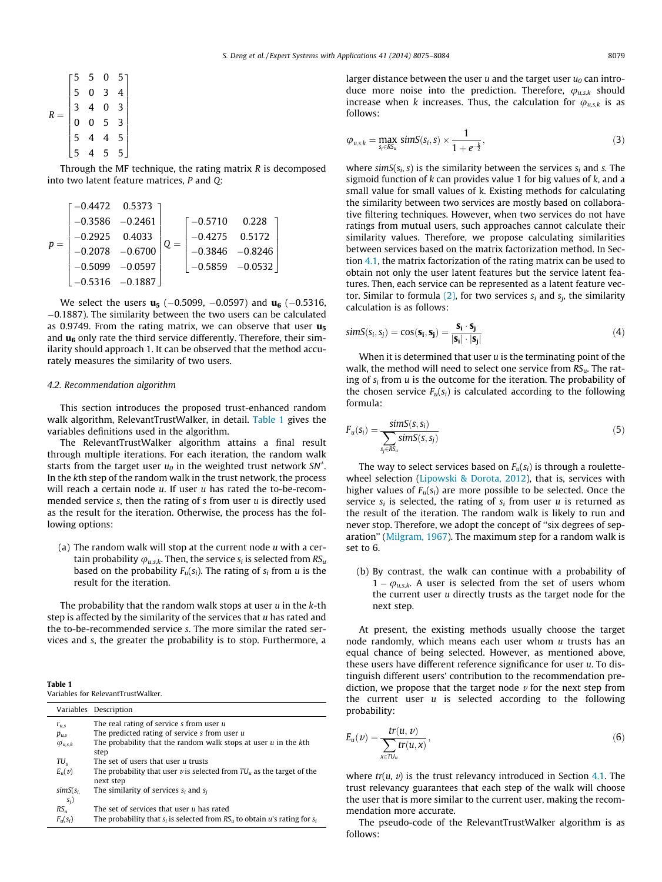<span id="page-4-0"></span>
$$
R = \begin{bmatrix} 5 & 5 & 0 & 5 \\ 5 & 0 & 3 & 4 \\ 3 & 4 & 0 & 3 \\ 0 & 0 & 5 & 3 \\ 5 & 4 & 4 & 5 \\ 5 & 4 & 5 & 5 \end{bmatrix}
$$

Through the MF technique, the rating matrix  $R$  is decomposed into two latent feature matrices, P and Q:

$$
p = \begin{bmatrix} -0.4472 & 0.5373 \\ -0.3586 & -0.2461 \\ -0.2925 & 0.4033 \\ -0.2078 & -0.6700 \\ -0.5099 & -0.0597 \\ -0.5316 & -0.1887 \end{bmatrix} Q = \begin{bmatrix} -0.5710 & 0.228 \\ -0.4275 & 0.5172 \\ -0.3846 & -0.8246 \\ -0.5859 & -0.0532 \end{bmatrix}
$$

We select the users  $\mathbf{u}_5$  (-0.5099, -0.0597) and  $\mathbf{u}_6$  (-0.5316,  $-0.1887$ ). The similarity between the two users can be calculated as 0.9749. From the rating matrix, we can observe that user  $\mathbf{u}_5$ and  $\mathbf{u}_6$  only rate the third service differently. Therefore, their similarity should approach 1. It can be observed that the method accurately measures the similarity of two users.

## 4.2. Recommendation algorithm

This section introduces the proposed trust-enhanced random walk algorithm, RelevantTrustWalker, in detail. Table 1 gives the variables definitions used in the algorithm.

The RelevantTrustWalker algorithm attains a final result through multiple iterations. For each iteration, the random walk starts from the target user  $u_0$  in the weighted trust network SN<sup>+</sup>. In the kth step of the random walk in the trust network, the process will reach a certain node u. If user u has rated the to-be-recommended service  $s$ , then the rating of  $s$  from user  $u$  is directly used as the result for the iteration. Otherwise, the process has the following options:

(a) The random walk will stop at the current node  $u$  with a certain probability  $\varphi_{u,s,k}$ . Then, the service  $s_i$  is selected from  $RS_u$ based on the probability  $F_u(s_i)$ . The rating of  $s_i$  from u is the result for the iteration.

The probability that the random walk stops at user  $u$  in the  $k$ -th step is affected by the similarity of the services that u has rated and the to-be-recommended service s. The more similar the rated services and s, the greater the probability is to stop. Furthermore, a

|--|--|--|

Variables for RelevantTrustWalker.

|                       | Variables Description                                                                   |
|-----------------------|-----------------------------------------------------------------------------------------|
| $r_{u,s}$             | The real rating of service s from user u                                                |
| $p_{u,s}$             | The predicted rating of service s from user u                                           |
| $\varphi_{u,s,k}$     | The probability that the random walk stops at user u in the kth                         |
|                       | step                                                                                    |
| TU <sub>u</sub>       | The set of users that user u trusts                                                     |
| $E_u(v)$              | The probability that user $v$ is selected from $TU_u$ as the target of the<br>next step |
| simS(s <sub>i</sub> ) | The similarity of services $s_i$ and $s_i$                                              |
| $s_i$                 |                                                                                         |
| $RS_{ii}$             | The set of services that user $u$ has rated                                             |
| $F_u(s_i)$            | The probability that $s_i$ is selected from $RS_u$ to obtain u's rating for $s_i$       |

larger distance between the user u and the target user  $u_0$  can introduce more noise into the prediction. Therefore,  $\varphi_{u,s,k}$  should increase when k increases. Thus, the calculation for  $\varphi_{u,s,k}$  is as follows:

$$
\varphi_{u,s,k} = \max_{s_i \in RS_u} \text{simS}(s_i, s) \times \frac{1}{1 + e^{-\frac{k}{2}}},\tag{3}
$$

where  $\text{simS}(s_i, s)$  is the similarity between the services  $s_i$  and s. The sigmoid function of  $k$  can provides value 1 for big values of  $k$ , and a small value for small values of k. Existing methods for calculating the similarity between two services are mostly based on collaborative filtering techniques. However, when two services do not have ratings from mutual users, such approaches cannot calculate their similarity values. Therefore, we propose calculating similarities between services based on the matrix factorization method. In Section [4.1,](#page-3-0) the matrix factorization of the rating matrix can be used to obtain not only the user latent features but the service latent features. Then, each service can be represented as a latent feature vec-tor. Similar to formula [\(2\),](#page-3-0) for two services  $s_i$  and  $s_j$ , the similarity calculation is as follows:

$$
simS(si, sj) = cos(\mathbf{s}_i, \mathbf{s}_j) = \frac{\mathbf{s}_i \cdot \mathbf{s}_j}{|\mathbf{s}_i| \cdot |\mathbf{s}_j|}
$$
(4)

When it is determined that user  $u$  is the terminating point of the walk, the method will need to select one service from  $RS_u$ . The rating of  $s_i$  from  $u$  is the outcome for the iteration. The probability of the chosen service  $F_u(s_i)$  is calculated according to the following formula:

$$
F_u(s_i) = \frac{\text{simS}(s, s_i)}{\sum_{s_j \in RS_u} \text{simS}(s, s_j)}
$$
(5)

The way to select services based on  $F_u(s_i)$  is through a roulettewheel selection ([Lipowski & Dorota, 2012\)](#page-9-0), that is, services with higher values of  $F_u(s_i)$  are more possible to be selected. Once the service  $s_i$  is selected, the rating of  $s_i$  from user u is returned as the result of the iteration. The random walk is likely to run and never stop. Therefore, we adopt the concept of ''six degrees of separation'' [\(Milgram, 1967\)](#page-9-0). The maximum step for a random walk is set to 6.

(b) By contrast, the walk can continue with a probability of  $1 - \varphi_{u, s, k}$ . A user is selected from the set of users whom the current user  $u$  directly trusts as the target node for the next step.

At present, the existing methods usually choose the target node randomly, which means each user whom u trusts has an equal chance of being selected. However, as mentioned above, these users have different reference significance for user u. To distinguish different users' contribution to the recommendation prediction, we propose that the target node  $\nu$  for the next step from the current user  $u$  is selected according to the following probability:

$$
E_u(v) = \frac{\operatorname{tr}(u, v)}{\sum_{x \in \mathcal{T}U_u} \operatorname{tr}(u, x)},\tag{6}
$$

where  $tr(u, v)$  is the trust relevancy introduced in Section [4.1](#page-3-0). The trust relevancy guarantees that each step of the walk will choose the user that is more similar to the current user, making the recommendation more accurate.

The pseudo-code of the RelevantTrustWalker algorithm is as follows: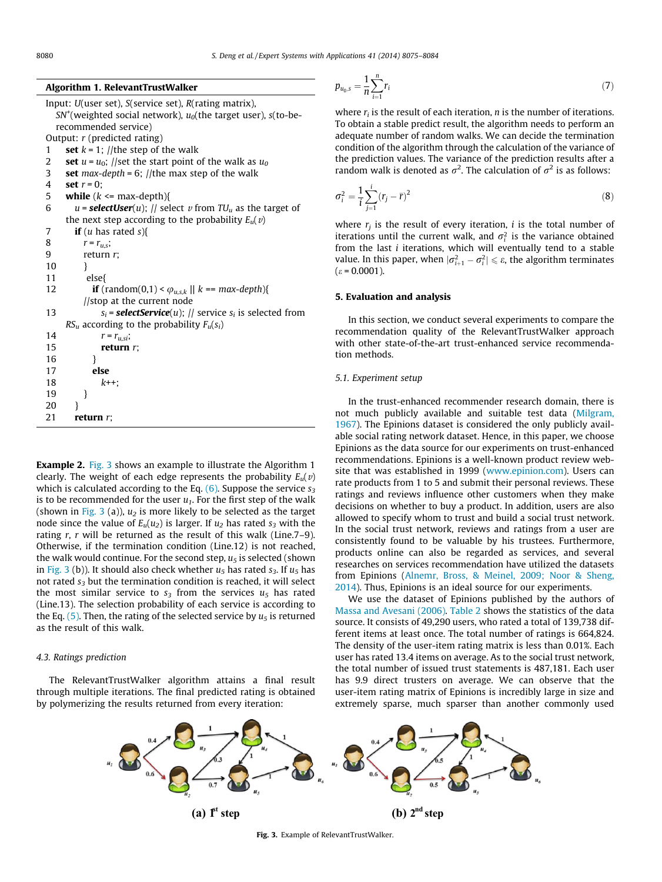## <span id="page-5-0"></span>Algorithm 1. RelevantTrustWalker

| Input: $U$ (user set), $S$ (service set), $R$ (rating matrix),          |
|-------------------------------------------------------------------------|
| $SN^{+}$ (weighted social network), $u_{0}$ (the target user), s(to-be- |
| recommended service)                                                    |
| $\sim$ $\sim$ $\sim$ $\sim$ $\sim$ $\sim$ $\sim$                        |

Output: r (predicted rating)

- 1 **set**  $k = 1$ ; //the step of the walk
- 2 **set**  $u = u_0$ ; //set the start point of the walk as  $u_0$
- 3 **set** max-depth = 6; //the max step of the walk
- 4 set  $r = 0$ ;
- 5 while  $(k \leq \text{max-depth})$
- 6  $u = \text{selectUser}(u)$ ; // select v from TU<sub>u</sub> as the target of the next step according to the probability  $E_u(v)$

|    | une nent step accord                       |
|----|--------------------------------------------|
| 7  | <b>if</b> ( <i>u</i> has rated <i>s</i> ){ |
| 8  | $r = r_{u.s}.$                             |
| q  | return $r$ ;                               |
| 10 |                                            |
| 11 | else{                                      |

| . . | <b>LIJLI</b>                                                  |
|-----|---------------------------------------------------------------|
| 12  | <b>if</b> (random(0,1) < $\varphi_{u,sk}$    k == max-depth){ |
|     | //stop at the current node                                    |
| 13  | $s_i$ = selectService(u); // service $s_i$ is selected from   |
|     | $RS_u$ according to the probability $F_u(s_i)$                |
| 14  | $r = r_{\text{u}}$ si,                                        |
|     |                                                               |

| 15 | return $r$ ; |
|----|--------------|
| 16 |              |
| 17 | else         |
| 18 | k++:         |
| 19 |              |
| 20 |              |
| 21 | return r:    |

**Example 2.** Fig. 3 shows an example to illustrate the Algorithm 1 clearly. The weight of each edge represents the probability  $E_u(v)$ which is calculated according to the Eq.  $(6)$ . Suppose the service  $s_3$ is to be recommended for the user  $u_1$ . For the first step of the walk (shown in Fig. 3 (a)),  $u_2$  is more likely to be selected as the target node since the value of  $E_u(u_2)$  is larger. If  $u_2$  has rated  $s_3$  with the rating r, r will be returned as the result of this walk (Line.7–9). Otherwise, if the termination condition (Line.12) is not reached, the walk would continue. For the second step,  $u_5$  is selected (shown in Fig. 3 (b)). It should also check whether  $u_5$  has rated  $s_3$ . If  $u_5$  has not rated  $s_3$  but the termination condition is reached, it will select the most similar service to  $s_3$  from the services  $u_5$  has rated (Line.13). The selection probability of each service is according to the Eq. [\(5\)](#page-4-0). Then, the rating of the selected service by  $u_5$  is returned as the result of this walk.

## 4.3. Ratings prediction

The RelevantTrustWalker algorithm attains a final result through multiple iterations. The final predicted rating is obtained by polymerizing the results returned from every iteration:

$$
p_{u_0,s} = \frac{1}{n} \sum_{i=1}^n r_i
$$
 (7)

where  $r_i$  is the result of each iteration, *n* is the number of iterations. To obtain a stable predict result, the algorithm needs to perform an adequate number of random walks. We can decide the termination condition of the algorithm through the calculation of the variance of the prediction values. The variance of the prediction results after a random walk is denoted as  $\sigma^2$ . The calculation of  $\sigma^2$  is as follows:

$$
\sigma_i^2 = \frac{1}{i} \sum_{j=1}^i (r_j - \bar{r})^2
$$
 (8)

where  $r_i$  is the result of every iteration, *i* is the total number of iterations until the current walk, and  $\sigma_i^2$  is the variance obtained from the last  $i$  iterations, which will eventually tend to a stable value. In this paper, when  $|\sigma_{i+1}^2 - \sigma_i^2| \leq \varepsilon$ , the algorithm terminates  $(\varepsilon = 0.0001)$ .

# 5. Evaluation and analysis

In this section, we conduct several experiments to compare the recommendation quality of the RelevantTrustWalker approach with other state-of-the-art trust-enhanced service recommendation methods.

## 5.1. Experiment setup

In the trust-enhanced recommender research domain, there is not much publicly available and suitable test data ([Milgram,](#page-9-0) [1967\)](#page-9-0). The Epinions dataset is considered the only publicly available social rating network dataset. Hence, in this paper, we choose Epinions as the data source for our experiments on trust-enhanced recommendations. Epinions is a well-known product review website that was established in 1999 ([www.epinion.com](#page-9-0)). Users can rate products from 1 to 5 and submit their personal reviews. These ratings and reviews influence other customers when they make decisions on whether to buy a product. In addition, users are also allowed to specify whom to trust and build a social trust network. In the social trust network, reviews and ratings from a user are consistently found to be valuable by his trustees. Furthermore, products online can also be regarded as services, and several researches on services recommendation have utilized the datasets from Epinions ([Alnemr, Bross, & Meinel, 2009; Noor & Sheng,](#page-8-0) [2014\)](#page-8-0). Thus, Epinions is an ideal source for our experiments.

We use the dataset of Epinions published by the authors of [Massa and Avesani \(2006\).](#page-9-0) [Table 2](#page-6-0) shows the statistics of the data source. It consists of 49,290 users, who rated a total of 139,738 different items at least once. The total number of ratings is 664,824. The density of the user-item rating matrix is less than 0.01%. Each user has rated 13.4 items on average. As to the social trust network, the total number of issued trust statements is 487,181. Each user has 9.9 direct trusters on average. We can observe that the user-item rating matrix of Epinions is incredibly large in size and extremely sparse, much sparser than another commonly used



Fig. 3. Example of RelevantTrustWalker.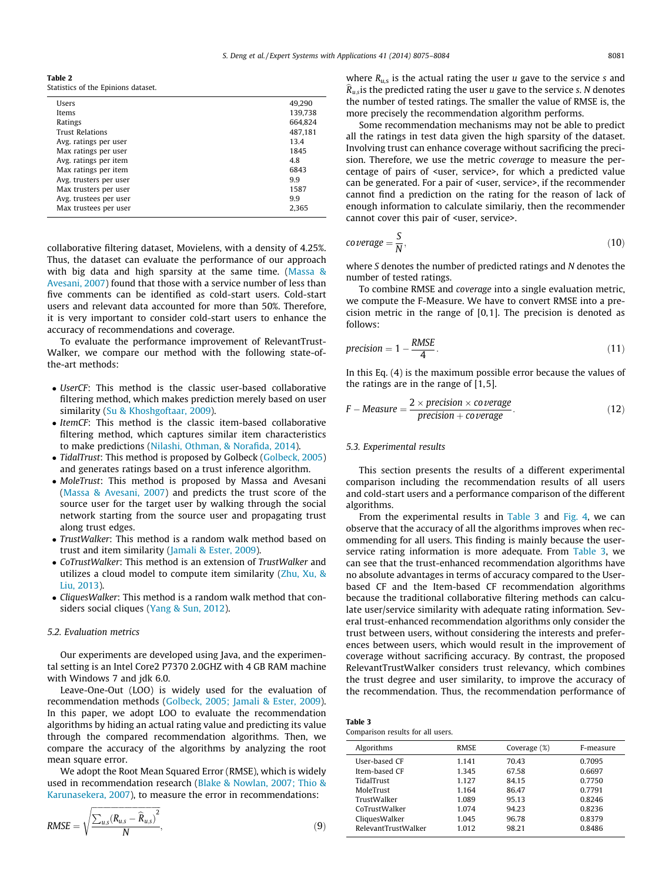<span id="page-6-0"></span>Table 2 Statistics of the Epinions dataset.

| statistics of the Ephilons dataset. |         |
|-------------------------------------|---------|
| <b>Users</b>                        | 49.290  |
| Items                               | 139.738 |
| Ratings                             | 664.824 |
| <b>Trust Relations</b>              | 487.181 |
| Avg. ratings per user               | 13.4    |
| Max ratings per user                | 1845    |
| Avg. ratings per item               | 4.8     |
| Max ratings per item                | 6843    |
| Avg. trusters per user              | 9.9     |
| Max trusters per user               | 1587    |
| Avg. trustees per user              | 9.9     |
| Max trustees per user               | 2.365   |
|                                     |         |

collaborative filtering dataset, Movielens, with a density of 4.25%. Thus, the dataset can evaluate the performance of our approach with big data and high sparsity at the same time. [\(Massa &](#page-9-0) [Avesani, 2007\)](#page-9-0) found that those with a service number of less than five comments can be identified as cold-start users. Cold-start users and relevant data accounted for more than 50%. Therefore, it is very important to consider cold-start users to enhance the accuracy of recommendations and coverage.

To evaluate the performance improvement of RelevantTrust-Walker, we compare our method with the following state-ofthe-art methods:

- UserCF: This method is the classic user-based collaborative filtering method, which makes prediction merely based on user similarity [\(Su & Khoshgoftaar, 2009\)](#page-9-0).
- ItemCF: This method is the classic item-based collaborative filtering method, which captures similar item characteristics to make predictions ([Nilashi, Othman, & Norafida, 2014\)](#page-9-0).
- TidalTrust: This method is proposed by Golbeck [\(Golbeck, 2005\)](#page-8-0) and generates ratings based on a trust inference algorithm.
- MoleTrust: This method is proposed by Massa and Avesani [\(Massa & Avesani, 2007](#page-9-0)) and predicts the trust score of the source user for the target user by walking through the social network starting from the source user and propagating trust along trust edges.
- TrustWalker: This method is a random walk method based on trust and item similarity [\(Jamali & Ester, 2009](#page-8-0)).
- CoTrustWalker: This method is an extension of TrustWalker and utilizes a cloud model to compute item similarity ([Zhu, Xu, &](#page-9-0) [Liu, 2013](#page-9-0)).
- CliquesWalker: This method is a random walk method that considers social cliques [\(Yang & Sun, 2012](#page-9-0)).

## 5.2. Evaluation metrics

Our experiments are developed using Java, and the experimental setting is an Intel Core2 P7370 2.0GHZ with 4 GB RAM machine with Windows 7 and jdk 6.0.

Leave-One-Out (LOO) is widely used for the evaluation of recommendation methods ([Golbeck, 2005; Jamali & Ester, 2009\)](#page-8-0). In this paper, we adopt LOO to evaluate the recommendation algorithms by hiding an actual rating value and predicting its value through the compared recommendation algorithms. Then, we compare the accuracy of the algorithms by analyzing the root mean square error.

We adopt the Root Mean Squared Error (RMSE), which is widely used in recommendation research [\(Blake & Nowlan, 2007; Thio &](#page-8-0) [Karunasekera, 2007](#page-8-0)), to measure the error in recommendations:

$$
RMSE = \sqrt{\frac{\sum_{u,s} (R_{u,s} - \widehat{R}_{u,s})^2}{N}},
$$
\n(9)

where  $R_{\mu,s}$  is the actual rating the user u gave to the service s and  $R_{u,s}$ is the predicted rating the user  $u$  gave to the service s. N denotes the number of tested ratings. The smaller the value of RMSE is, the more precisely the recommendation algorithm performs.

Some recommendation mechanisms may not be able to predict all the ratings in test data given the high sparsity of the dataset. Involving trust can enhance coverage without sacrificing the precision. Therefore, we use the metric coverage to measure the percentage of pairs of <user, service>, for which a predicted value can be generated. For a pair of <user, service>, if the recommender cannot find a prediction on the rating for the reason of lack of enough information to calculate similariy, then the recommender cannot cover this pair of <user, service>.

$$
coverage = \frac{S}{N},\tag{10}
$$

where S denotes the number of predicted ratings and N denotes the number of tested ratings.

To combine RMSE and coverage into a single evaluation metric, we compute the F-Measure. We have to convert RMSE into a precision metric in the range of [0,1]. The precision is denoted as follows:

$$
precision = 1 - \frac{RMSE}{4}.
$$
\n(11)

In this Eq. (4) is the maximum possible error because the values of the ratings are in the range of [1,5].

$$
F-Measure = \frac{2 \times precision \times coverage}{precision + coverage}.
$$
 (12)

# 5.3. Experimental results

This section presents the results of a different experimental comparison including the recommendation results of all users and cold-start users and a performance comparison of the different algorithms.

From the experimental results in Table 3 and [Fig. 4,](#page-7-0) we can observe that the accuracy of all the algorithms improves when recommending for all users. This finding is mainly because the userservice rating information is more adequate. From Table 3, we can see that the trust-enhanced recommendation algorithms have no absolute advantages in terms of accuracy compared to the Userbased CF and the Item-based CF recommendation algorithms because the traditional collaborative filtering methods can calculate user/service similarity with adequate rating information. Several trust-enhanced recommendation algorithms only consider the trust between users, without considering the interests and preferences between users, which would result in the improvement of coverage without sacrificing accuracy. By contrast, the proposed RelevantTrustWalker considers trust relevancy, which combines the trust degree and user similarity, to improve the accuracy of the recommendation. Thus, the recommendation performance of

| Table 3                           |  |  |
|-----------------------------------|--|--|
| Comparison results for all users. |  |  |

| Algorithms          | <b>RMSE</b> | Coverage (%) | F-measure |
|---------------------|-------------|--------------|-----------|
| Liser-based CF      | 1.141       | 70.43        | 0.7095    |
| Item-based CF       | 1.345       | 67.58        | 0.6697    |
| TidalTrust          | 1.127       | 84.15        | 0.7750    |
| MoleTrust           | 1.164       | 86.47        | 0.7791    |
| TrustWalker         | 1.089       | 95.13        | 0.8246    |
| CoTrustWalker       | 1.074       | 94.23        | 0.8236    |
| CliquesWalker       | 1.045       | 96.78        | 0.8379    |
| RelevantTrustWalker | 1.012       | 98.21        | 0.8486    |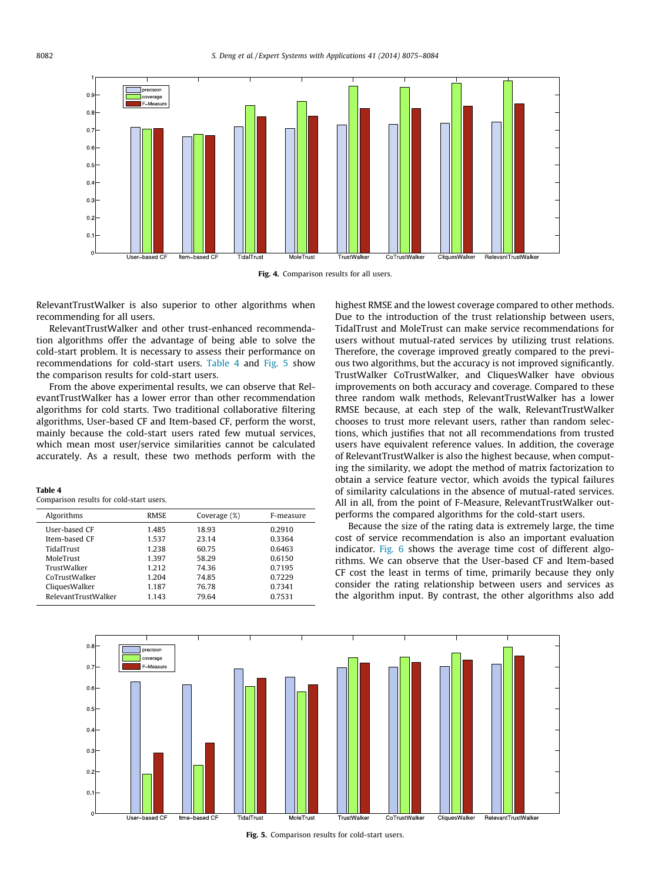<span id="page-7-0"></span>



RelevantTrustWalker is also superior to other algorithms when recommending for all users.

RelevantTrustWalker and other trust-enhanced recommendation algorithms offer the advantage of being able to solve the cold-start problem. It is necessary to assess their performance on recommendations for cold-start users. Table 4 and Fig. 5 show the comparison results for cold-start users.

From the above experimental results, we can observe that RelevantTrustWalker has a lower error than other recommendation algorithms for cold starts. Two traditional collaborative filtering algorithms, User-based CF and Item-based CF, perform the worst, mainly because the cold-start users rated few mutual services, which mean most user/service similarities cannot be calculated accurately. As a result, these two methods perform with the

#### Table 4

Comparison results for cold-start users.

| Algorithms          | <b>RMSE</b> | Coverage (%) | F-measure |
|---------------------|-------------|--------------|-----------|
| User-based CF       | 1.485       | 18.93        | 0.2910    |
| Item-based CF       | 1.537       | 23.14        | 0.3364    |
| TidalTrust          | 1.238       | 60.75        | 0.6463    |
| MoleTrust           | 1.397       | 58.29        | 0.6150    |
| TrustWalker         | 1.212       | 74.36        | 0.7195    |
| CoTrustWalker       | 1.204       | 74.85        | 0.7229    |
| CliquesWalker       | 1.187       | 76.78        | 0.7341    |
| RelevantTrustWalker | 1.143       | 79.64        | 0.7531    |
|                     |             |              |           |

highest RMSE and the lowest coverage compared to other methods. Due to the introduction of the trust relationship between users, TidalTrust and MoleTrust can make service recommendations for users without mutual-rated services by utilizing trust relations. Therefore, the coverage improved greatly compared to the previous two algorithms, but the accuracy is not improved significantly. TrustWalker CoTrustWalker, and CliquesWalker have obvious improvements on both accuracy and coverage. Compared to these three random walk methods, RelevantTrustWalker has a lower RMSE because, at each step of the walk, RelevantTrustWalker chooses to trust more relevant users, rather than random selections, which justifies that not all recommendations from trusted users have equivalent reference values. In addition, the coverage of RelevantTrustWalker is also the highest because, when computing the similarity, we adopt the method of matrix factorization to obtain a service feature vector, which avoids the typical failures of similarity calculations in the absence of mutual-rated services. All in all, from the point of F-Measure, RelevantTrustWalker outperforms the compared algorithms for the cold-start users.

Because the size of the rating data is extremely large, the time cost of service recommendation is also an important evaluation indicator. [Fig. 6](#page-8-0) shows the average time cost of different algorithms. We can observe that the User-based CF and Item-based CF cost the least in terms of time, primarily because they only consider the rating relationship between users and services as the algorithm input. By contrast, the other algorithms also add



Fig. 5. Comparison results for cold-start users.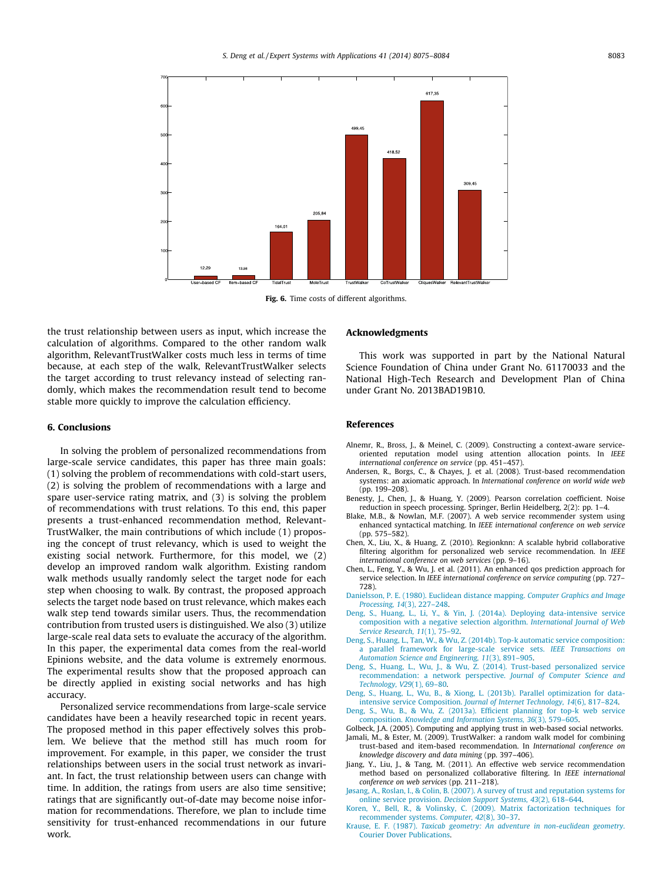<span id="page-8-0"></span>

Fig. 6. Time costs of different algorithms.

the trust relationship between users as input, which increase the calculation of algorithms. Compared to the other random walk algorithm, RelevantTrustWalker costs much less in terms of time because, at each step of the walk, RelevantTrustWalker selects the target according to trust relevancy instead of selecting randomly, which makes the recommendation result tend to become stable more quickly to improve the calculation efficiency.

## 6. Conclusions

In solving the problem of personalized recommendations from large-scale service candidates, this paper has three main goals: (1) solving the problem of recommendations with cold-start users, (2) is solving the problem of recommendations with a large and spare user-service rating matrix, and (3) is solving the problem of recommendations with trust relations. To this end, this paper presents a trust-enhanced recommendation method, Relevant-TrustWalker, the main contributions of which include (1) proposing the concept of trust relevancy, which is used to weight the existing social network. Furthermore, for this model, we (2) develop an improved random walk algorithm. Existing random walk methods usually randomly select the target node for each step when choosing to walk. By contrast, the proposed approach selects the target node based on trust relevance, which makes each walk step tend towards similar users. Thus, the recommendation contribution from trusted users is distinguished. We also (3) utilize large-scale real data sets to evaluate the accuracy of the algorithm. In this paper, the experimental data comes from the real-world Epinions website, and the data volume is extremely enormous. The experimental results show that the proposed approach can be directly applied in existing social networks and has high accuracy.

Personalized service recommendations from large-scale service candidates have been a heavily researched topic in recent years. The proposed method in this paper effectively solves this problem. We believe that the method still has much room for improvement. For example, in this paper, we consider the trust relationships between users in the social trust network as invariant. In fact, the trust relationship between users can change with time. In addition, the ratings from users are also time sensitive; ratings that are significantly out-of-date may become noise information for recommendations. Therefore, we plan to include time sensitivity for trust-enhanced recommendations in our future work.

# Acknowledgments

This work was supported in part by the National Natural Science Foundation of China under Grant No. 61170033 and the National High-Tech Research and Development Plan of China under Grant No. 2013BAD19B10.

### References

- Alnemr, R., Bross, J., & Meinel, C. (2009). Constructing a context-aware serviceoriented reputation model using attention allocation points. In IEEE international conference on service (pp. 451–457).
- Andersen, R., Borgs, C., & Chayes, J. et al. (2008). Trust-based recommendation systems: an axiomatic approach. In International conference on world wide web (pp. 199–208).
- Benesty, J., Chen, J., & Huang, Y. (2009). Pearson correlation coefficient. Noise reduction in speech processing. Springer, Berlin Heidelberg, 2(2): pp. 1–4.
- Blake, M.B., & Nowlan, M.F. (2007). A web service recommender system using enhanced syntactical matching. In IEEE international conference on web service (pp. 575–582).
- Chen, X., Liu, X., & Huang, Z. (2010). Regionknn: A scalable hybrid collaborative filtering algorithm for personalized web service recommendation. In IEEE international conference on web services (pp. 9–16).
- Chen, L., Feng, Y., & Wu, J. et al. (2011). An enhanced qos prediction approach for service selection. In IEEE international conference on service computing (pp. 727– 728).
- [Danielsson, P. E. \(1980\). Euclidean distance mapping.](http://refhub.elsevier.com/S0957-4174(14)00410-2/h0125) Computer Graphics and Image [Processing, 14](http://refhub.elsevier.com/S0957-4174(14)00410-2/h0125)(3), 227–248.
- [Deng, S., Huang, L., Li, Y., & Yin, J. \(2014a\). Deploying data-intensive service](http://refhub.elsevier.com/S0957-4174(14)00410-2/h0005) [composition with a negative selection algorithm.](http://refhub.elsevier.com/S0957-4174(14)00410-2/h0005) International Journal of Web [Service Research, 11](http://refhub.elsevier.com/S0957-4174(14)00410-2/h0005)(1), 75–92.
- [Deng, S., Huang, L., Tan, W., & Wu, Z. \(2014b\). Top-k automatic service composition:](http://refhub.elsevier.com/S0957-4174(14)00410-2/h0010) [a parallel framework for large-scale service sets.](http://refhub.elsevier.com/S0957-4174(14)00410-2/h0010) IEEE Transactions on [Automation Science and Engineering, 11](http://refhub.elsevier.com/S0957-4174(14)00410-2/h0010)(3), 891–905.
- [Deng, S., Huang, L., Wu, J., & Wu, Z. \(2014\). Trust-based personalized service](http://refhub.elsevier.com/S0957-4174(14)00410-2/h0025) [recommendation: a network perspective.](http://refhub.elsevier.com/S0957-4174(14)00410-2/h0025) Journal of Computer Science and [Technology, V29](http://refhub.elsevier.com/S0957-4174(14)00410-2/h0025)(1), 69–80.
- [Deng, S., Huang, L., Wu, B., & Xiong, L. \(2013b\). Parallel optimization for data](http://refhub.elsevier.com/S0957-4174(14)00410-2/h0020)intensive service Composition. [Journal of Internet Technology, 14](http://refhub.elsevier.com/S0957-4174(14)00410-2/h0020)(6), 817–824.
- [Deng, S., Wu, B., & Wu, Z. \(2013a\). Efficient planning for top-k web service](http://refhub.elsevier.com/S0957-4174(14)00410-2/h0015) composition. [Knowledge and Information Systems, 36](http://refhub.elsevier.com/S0957-4174(14)00410-2/h0015)(3), 579–605.
- Golbeck, J.A. (2005). Computing and applying trust in web-based social networks. Jamali, M., & Ester, M. (2009). TrustWalker: a random walk model for combining
- trust-based and item-based recommendation. In International conference on knowledge discovery and data mining (pp. 397–406). Jiang, Y., Liu, J., & Tang, M. (2011). An effective web service recommendation
- method based on personalized collaborative filtering. In IEEE international conference on web services (pp. 211–218).
- [Jøsang, A., Roslan, I., & Colin, B. \(2007\). A survey of trust and reputation systems for](http://refhub.elsevier.com/S0957-4174(14)00410-2/h0190) online service provision. [Decision Support Systems, 43](http://refhub.elsevier.com/S0957-4174(14)00410-2/h0190)(2), 618–644.
- [Koren, Y., Bell, R., & Volinsky, C. \(2009\). Matrix factorization techniques for](http://refhub.elsevier.com/S0957-4174(14)00410-2/h0135) [recommender systems.](http://refhub.elsevier.com/S0957-4174(14)00410-2/h0135) Computer, 42(8), 30–37.
- Krause, E. F. (1987). [Taxicab geometry: An adventure in non-euclidean geometry](http://refhub.elsevier.com/S0957-4174(14)00410-2/h0130). [Courier Dover Publications.](http://refhub.elsevier.com/S0957-4174(14)00410-2/h0130)